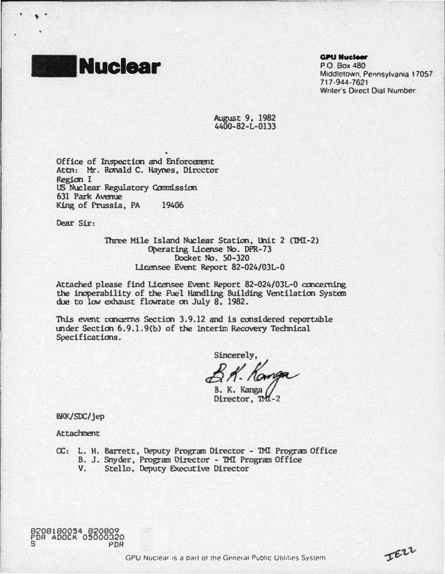

' .

#### **GPU Nuclear**

P.O Box 480 Middletown. Pennsylvania 17057 717-944-7621 . Writer's Direct Dial Number:

IEZZ

August 9, 1982 4400-82-L-0133

Office of Inspection and Enforcement Attn: Mr. Ronald C. Haynes, Director Region I us Nuclear Regulatory Ccmnission King of Prussia, PA 19406 631 Park Avenue

Dear Sir:

Three Mile Island Nuclear Station, Unit 2 (TMI-2) Operating License No. DPR-73 Docket No. 50-320 Licensee Event Report 82-024/03L-O

Attached please find Licensee Event Report 82-024/0JL-0 concerning the inoperability of the Fuel Handling Building Ventilation System due to low exhaust flowrate on July a. 1982.

This event concerns Section 3.9.12 and is considered reportable under Section 6.9.1.9(b) of the Interim Recovery Technical Specifications.

sincerely,<br>B. K. Komga

Director, TMI-2

BKK/SDC/jep

**Attachnent** 

- CX:: L. H. Barrett, Deputy Progran Director 1Ml Progran Office
	- B. J. Snyder, Program Director 1Ml Program Office
	- V. Stello, Deputy Executive Director

8208180054 820809 PDR ADOCK 05000320 5 PDR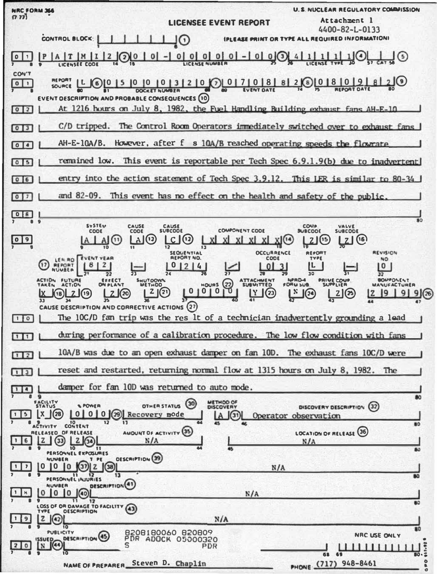U. S. NISCLEAR REGULATORY COMMISSION **NRC FORM 366**  $(7.77)$ Attachment 1 **LICENSEE EVENT REPORT** 4400-82-L-0133 **IPLEASE PRINT OR TYPE ALL REQUIRED INFORMATIONS** CONTROL BLOCK: JΟ  $| - |$  0 | 0 | 0 | 0 | 0  $\left|0\right|$  1 A T M I  $12$  $(2)$  $\overline{0}$  $|0|$  $0(3)$  $J(5)$ **LICENSEE COOL CON'T**  $(6)$  0 | 5 | 0 | 0 | 0 | 3 | 2 | 0  $(7)$  | 0 | 7 | 0 | 8 | 8 |  $2(8)[0|8|0|9]$  $\boxed{0}$ SOURCE L EVENT DESCRIPTION AND PROBABLE CONSEQUENCES (10) At 1216 hours on July 8. 1982, the Fuel Handling Building exhaust fans AH-E-10  $0<sup>2</sup>$ C/D tripped. The Control Room Operators immediately switched over to exhaust fans  $013$ However, after f s 10A/B reached operating speeds the flowrate  $AH-E-10A/B$ . எஎ This event is reportable per Tech Spec 6.9.1.9(b) due to inadvertent remained low.  $015$ entry into the action statement of Tech Spec 3.9.12.  $06$ This LER is  $sim$  1ar to 80-34 This event has no effect on the health and safety of the public and 82-09.  $0$   $7$  $\boxed{0|8}$ **SYSTEM** CAUSE **COMP** VALVE<br>SUBCODE **CAUSE** CODE CODE COMPONENT CODE **SUBCOOE**  $A(t)$  $A(0)$  $|C|$ (၁)  $21(6)$  $\lceil 0 \rceil$  9 XII<sup>14</sup>  $21^{15}$ OCCURRENCE **REVISION SEQUENTIAL BEROR** LER RO **EVENT VEAR REPORT NO** CODE TYPE **NO**  $(17)$  $812$  $01214$ **REPORT**<br>NUMBER  $0<sup>1</sup>$ IL.  $|0|$  $3$  $\overline{32}$ BOMPONENT **ACTION** FUTURE SHUTOOM NPRD-4 **EFFECT** ATTACHMENT **PRIME COUP** ကြ **HOURS MANUFACTURE**  $\frac{|\mathbf{Y}|}{4!}$  $2 | (2)$  $01010$ ნ  $\mathbf{N}$  $19<sup>1</sup>$ 91  $\sqrt{20}$  $\binom{2}{2}$  $2(3)$  $9(26)$  $nR$ CAUSE DESCRIPTION AND CORRECTIVE ACTIONS (27) The 10C/D fan trip was the res lt of a technician inadvertently grounding a lead  $\Box$ during performance of a calibration procedure. The low flow condition with fans  $111$ 10A/B was due to an open exhaust damper on fan 10D. The exhaust fans 10C/D were  $\sqrt{12}$ reset and restarted, returning normal flow at 1315 hours on July 8, 1982. The  $113$ damper for fan 10D was returned to auto mode.  $114$  $\overline{a}$ FACILITY METHOD OF OTHER STATUS (30) **SPOWER**  $(32)$ DISCOVERY DESCRIPTION  $(28)$  $\mathbf{x}$  $0 | 0 | 0 |$   $(29)$ **S** mode ۱A  $\sqrt{31}$ Operator observatio CONTENT ACTIVITY AMOUNT OF ACTIVITY (35) LOCATION OF RELEASE (36) RELEASED OF RELEASE  $20$  $\odot$ 6 Iz.  $N/A$  $N/L$ PERSONNEL EXPOSURES OESCRIPTION<sup>(39)</sup> T PE **NUMBER**  $Q_2$   $Q_3$ 0 0 0  $\overline{\phantom{a}}$  $N/A$ 11 12<br>EL INJURIES PERSONNE **DESCRIPTION**(41) **IUVEER**  $0|0$  $\,$  H  $\Omega$  $(a)$  $N/A$  $\overline{11}$  $\overline{12}$ LOSS OF OR DAVAGE TO FACILITY  $(43)$ **OESCRIPTION**  $\overline{z}$  $N/A$ l 9  $(42)$ <sub>10</sub> B208180060 820809  $s<sub>sup</sub>$ PUBLICITY NRC USE ONLY **DESCRIPTION** (45) PDR ADOCK 05000320  $\circ$ PDR 11111111 n 1 o 1 PHONE (717) 948-8461 NAME OF PREPARER\_Steven D. Chaplin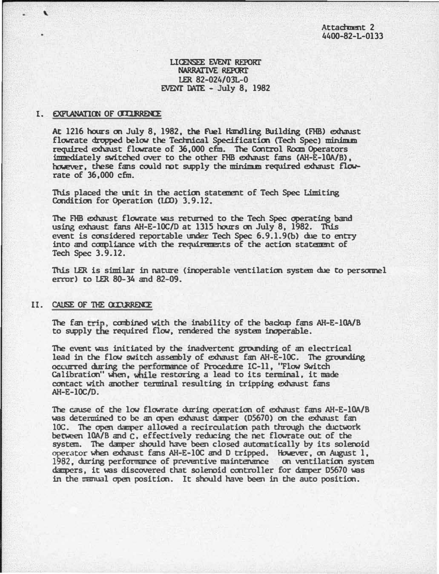# UCENSEE EVEN!' REPORT NARRATIVE REPORT EVENT DATE - July 8, 1982 LER 82-024/0JL-0

### I. EXPLANATION OF OCCURRENCE

 $\cdot$ 

At 1216 hours on July 8, 1982, the fuel Handling Building (FHB) exhaust flowrate dropped below the Technical Specification (Tech Spec) minimum required exhaust flowrate of 36,000 cfm. The Control Roam Operators immediately switched over to the other FHB exhaust fans (AH-E-10A/B), however, these fans could not supply the minimum required exhaust flowrate of 36,000 cfm.

This placed the unit in the action statement of Tech Spec Limiting Condition for Operation (LCO) 3.9.12.

The FHB exhaust flowrate was returned to the Tech Spec operating band using exhaust fans AH-E-10C/D at 1315 hours oo July 8, 1982. This event is considered reportable under Tech Spec  $6.9.1.9(b)$  due to entry into and compliance with the requirements of the action statement of Tech Spec 3.9.12.

This LER is similar in nature (inoperable ventilatim system due to persamel error) to LER 80-34 and 82-09.

#### II. CAUSE OF THE OCCURRENCE

The fan trip, combined with the inability of the backup fans AH-E-10A/B to supply the required flow, rendered the system inoperable.

The event was initiated by the inadvertent gromding of an electrical occurr ed during the performance of Procedure IC-11, ''Flow Switch lead in the flow switch asseubly of exhaust fan AH-E-10C. The grounding Calibration" when, while restoring a lead to its terminal, it made contact with another terminal resulting in tripping exhaust fans AH-E-10C/D.

The cause of the low flowrate during operatioo of exhaust fans AH-E-10A/8 was determined to be an open exhaust damper (05670) on the exhaust fan 10C. The open damper allowed a recirculation path through the ductwork between 10A/B and C, effectively reducing the net flowrate out of the system. The damper should have been closed automatically by its solenoid operator when exhaust fans AH-E-10C and D tripped. However, on August 1, dampers, 1982, during perfonnance of preventive maintenance oo ventllatim system it was discovered that solenoid cootroller for danper 05670 was in the manual open position. It should have been in the auto position.